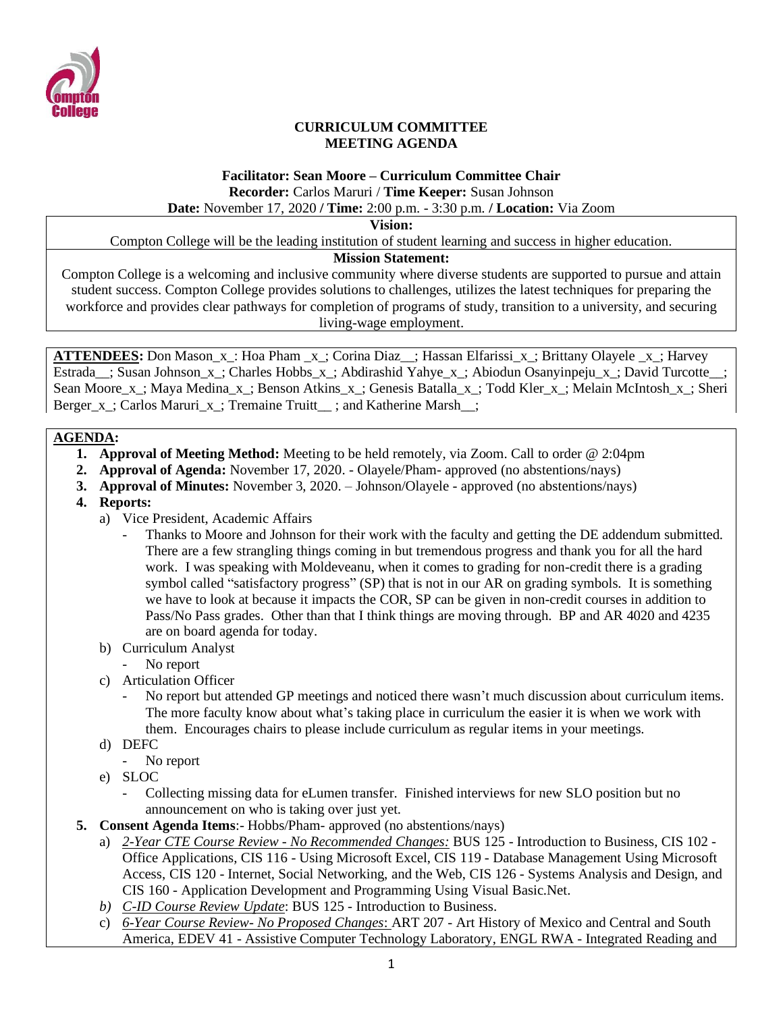

#### **CURRICULUM COMMITTEE MEETING AGENDA**

# **Facilitator: Sean Moore – Curriculum Committee Chair Recorder:** Carlos Maruri / **Time Keeper:** Susan Johnson

### **Date:** November 17, 2020 **/ Time:** 2:00 p.m. - 3:30 p.m. **/ Location:** Via Zoom

**Vision:**

Compton College will be the leading institution of student learning and success in higher education.

#### **Mission Statement:**

Compton College is a welcoming and inclusive community where diverse students are supported to pursue and attain student success. Compton College provides solutions to challenges, utilizes the latest techniques for preparing the workforce and provides clear pathways for completion of programs of study, transition to a university, and securing living-wage employment.

**ATTENDEES:** Don Mason\_x\_: Hoa Pham \_x\_; Corina Diaz\_\_; Hassan Elfarissi\_x\_; Brittany Olayele \_x\_; Harvey Estrada\_; Susan Johnson\_x\_; Charles Hobbs\_x\_; Abdirashid Yahye\_x\_; Abiodun Osanyinpeju\_x\_; David Turcotte\_\_; Sean Moore x: Maya Medina x: Benson Atkins x: Genesis Batalla x: Todd Kler x: Melain McIntosh x: Sheri Berger x ; Carlos Maruri x ; Tremaine Truitt  $\therefore$  and Katherine Marsh :

### **AGENDA:**

- **1. Approval of Meeting Method:** Meeting to be held remotely, via Zoom. Call to order @ 2:04pm
- **2. Approval of Agenda:** November 17, 2020. Olayele/Pham- approved (no abstentions/nays)
- **3. Approval of Minutes:** November 3, 2020. Johnson/Olayele approved (no abstentions/nays)
- **4. Reports:** 
	- a) Vice President, Academic Affairs
		- Thanks to Moore and Johnson for their work with the faculty and getting the DE addendum submitted. There are a few strangling things coming in but tremendous progress and thank you for all the hard work. I was speaking with Moldeveanu, when it comes to grading for non-credit there is a grading symbol called "satisfactory progress" (SP) that is not in our AR on grading symbols. It is something we have to look at because it impacts the COR, SP can be given in non-credit courses in addition to Pass/No Pass grades. Other than that I think things are moving through. BP and AR 4020 and 4235 are on board agenda for today.
	- b) Curriculum Analyst
		- No report
	- c) Articulation Officer
		- No report but attended GP meetings and noticed there wasn't much discussion about curriculum items. The more faculty know about what's taking place in curriculum the easier it is when we work with them. Encourages chairs to please include curriculum as regular items in your meetings.
	- d) DEFC
		- No report
	- e) SLOC
		- Collecting missing data for eLumen transfer. Finished interviews for new SLO position but no announcement on who is taking over just yet.
- **5. Consent Agenda Items**:- Hobbs/Pham- approved (no abstentions/nays)
	- a) *2-Year CTE Course Review - No Recommended Changes:* BUS 125 Introduction to Business, CIS 102 Office Applications, CIS 116 - Using Microsoft Excel, CIS 119 - Database Management Using Microsoft Access, CIS 120 - Internet, Social Networking, and the Web, CIS 126 - Systems Analysis and Design, and CIS 160 - Application Development and Programming Using Visual Basic.Net.
	- *b) C-ID Course Review Update*: BUS 125 Introduction to Business.
	- c) *6-Year Course Review- No Proposed Changes*: ART 207 Art History of Mexico and Central and South America, EDEV 41 - Assistive Computer Technology Laboratory, ENGL RWA - Integrated Reading and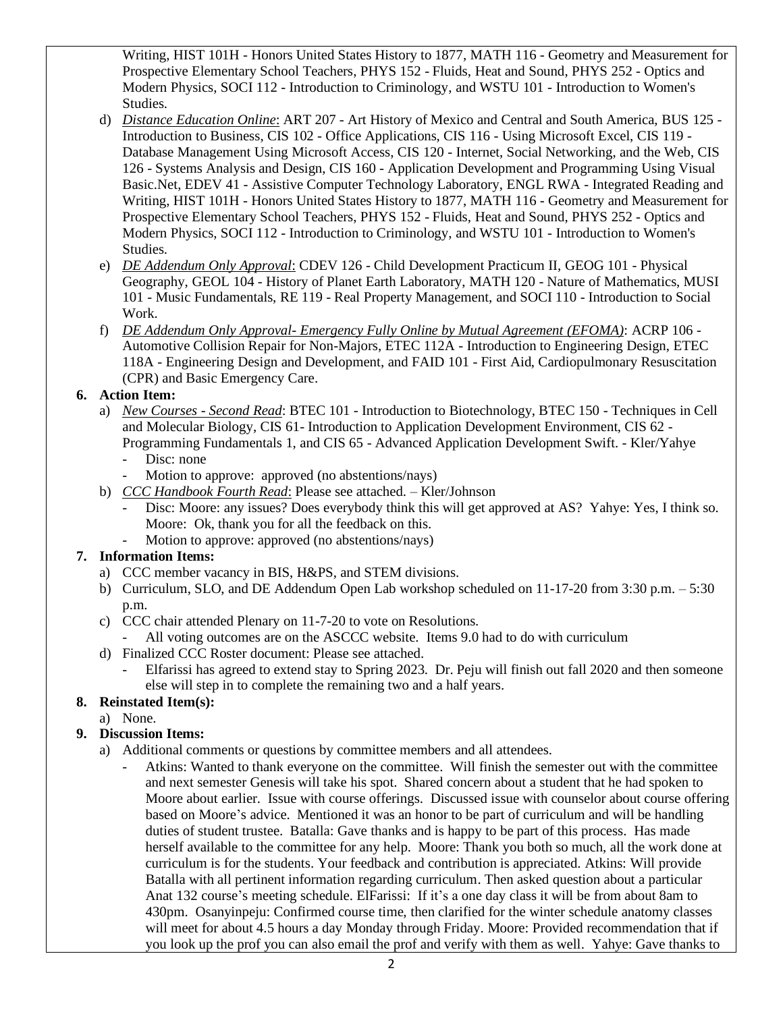Writing, HIST 101H - Honors United States History to 1877, MATH 116 - Geometry and Measurement for Prospective Elementary School Teachers, PHYS 152 - Fluids, Heat and Sound, PHYS 252 - Optics and Modern Physics, SOCI 112 - Introduction to Criminology, and WSTU 101 - Introduction to Women's Studies.

- d) *Distance Education Online*: ART 207 Art History of Mexico and Central and South America, BUS 125 Introduction to Business, CIS 102 - Office Applications, CIS 116 - Using Microsoft Excel, CIS 119 - Database Management Using Microsoft Access, CIS 120 - Internet, Social Networking, and the Web, CIS 126 - Systems Analysis and Design, CIS 160 - Application Development and Programming Using Visual Basic.Net, EDEV 41 - Assistive Computer Technology Laboratory, ENGL RWA - Integrated Reading and Writing, HIST 101H - Honors United States History to 1877, MATH 116 - Geometry and Measurement for Prospective Elementary School Teachers, PHYS 152 - Fluids, Heat and Sound, PHYS 252 - Optics and Modern Physics, SOCI 112 - Introduction to Criminology, and WSTU 101 - Introduction to Women's Studies.
- e) *DE Addendum Only Approval*: CDEV 126 Child Development Practicum II, GEOG 101 Physical Geography, GEOL 104 - History of Planet Earth Laboratory, MATH 120 - Nature of Mathematics, MUSI 101 - Music Fundamentals, RE 119 - Real Property Management, and SOCI 110 - Introduction to Social Work.
- f) *DE Addendum Only Approval- Emergency Fully Online by Mutual Agreement (EFOMA)*: ACRP 106 Automotive Collision Repair for Non-Majors, ETEC 112A - Introduction to Engineering Design, ETEC 118A - Engineering Design and Development, and FAID 101 - First Aid, Cardiopulmonary Resuscitation (CPR) and Basic Emergency Care.

# **6. Action Item:**

- a) *New Courses - Second Read*: BTEC 101 Introduction to Biotechnology, BTEC 150 Techniques in Cell and Molecular Biology, CIS 61- Introduction to Application Development Environment, CIS 62 - Programming Fundamentals 1, and CIS 65 - Advanced Application Development Swift. - Kler/Yahye
	- Disc: none
	- Motion to approve: approved (no abstentions/nays)
- b) *CCC Handbook Fourth Read*: Please see attached. Kler/Johnson
	- Disc: Moore: any issues? Does everybody think this will get approved at AS? Yahye: Yes, I think so. Moore: Ok, thank you for all the feedback on this.
	- Motion to approve: approved (no abstentions/nays)

# **7. Information Items:**

- a) CCC member vacancy in BIS, H&PS, and STEM divisions.
- b) Curriculum, SLO, and DE Addendum Open Lab workshop scheduled on 11-17-20 from 3:30 p.m. 5:30 p.m.
- c) CCC chair attended Plenary on 11-7-20 to vote on Resolutions.
	- All voting outcomes are on the ASCCC website. Items 9.0 had to do with curriculum
- d) Finalized CCC Roster document: Please see attached.
	- Elfarissi has agreed to extend stay to Spring 2023. Dr. Peju will finish out fall 2020 and then someone else will step in to complete the remaining two and a half years.

# **8. Reinstated Item(s):**

a) None.

# **9. Discussion Items:**

- a) Additional comments or questions by committee members and all attendees.
	- Atkins: Wanted to thank everyone on the committee. Will finish the semester out with the committee and next semester Genesis will take his spot. Shared concern about a student that he had spoken to Moore about earlier. Issue with course offerings. Discussed issue with counselor about course offering based on Moore's advice. Mentioned it was an honor to be part of curriculum and will be handling duties of student trustee. Batalla: Gave thanks and is happy to be part of this process. Has made herself available to the committee for any help. Moore: Thank you both so much, all the work done at curriculum is for the students. Your feedback and contribution is appreciated. Atkins: Will provide Batalla with all pertinent information regarding curriculum. Then asked question about a particular Anat 132 course's meeting schedule. ElFarissi: If it's a one day class it will be from about 8am to 430pm. Osanyinpeju: Confirmed course time, then clarified for the winter schedule anatomy classes will meet for about 4.5 hours a day Monday through Friday. Moore: Provided recommendation that if you look up the prof you can also email the prof and verify with them as well. Yahye: Gave thanks to